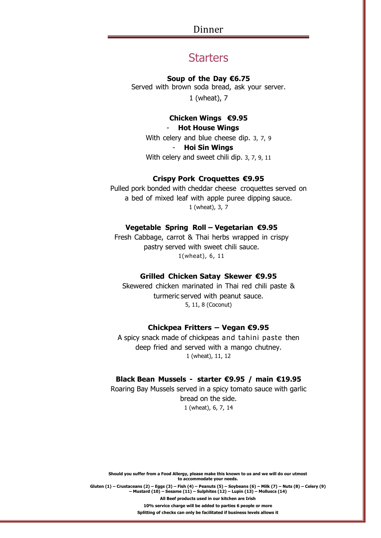Dinner

# **Starters**

#### **Soup of the Day €6.75**

Served with brown soda bread, ask your server. 1 (wheat), 7

# **Chicken Wings €9.95**

# - **Hot House Wings**

With celery and blue cheese dip. 3, 7, 9 - **Hoi Sin Wings** With celery and sweet chili dip. 3, 7, 9, 11

## **Crispy Pork Croquettes €9.95**

Pulled pork bonded with cheddar cheese croquettes served on a bed of mixed leaf with apple puree dipping sauce. 1 (wheat), 3, 7

## **Vegetable Spring Roll – Vegetarian €9.95**

Fresh Cabbage, carrot & Thai herbs wrapped in crispy pastry served with sweet chili sauce. 1(wheat), 6, 11

#### **Grilled Chicken Satay Skewer €9.95**

Skewered chicken marinated in Thai red chili paste & turmeric served with peanut sauce. 5, 11, 8 (Coconut)

## **Chickpea Fritters – Vegan €9.95**

A spicy snack made of chickpeas and tahini paste then deep fried and served with a mango chutney. 1 (wheat), 11, 12

# **Black Bean Mussels - starter €9.95 / main €19.95**

Roaring Bay Mussels served in a spicy tomato sauce with garlic bread on the side. 1 (wheat), 6, 7, 14

**Should you suffer from a Food Allergy, please make this known to us and we will do our utmost to accommodate your needs.** Gluten (1) – Crustaceans (2) – Eggs (3) – Fish (4) – Peanuts (5) – Soybeans (6) – Milk (7) – Nuts (8) – Celery (9) **– Mustard (10) – Sesame (11) – Sulphites (12) – Lupin (13) – Molluscs (14) All Beef products used in our kitchen are Irish 10% service charge will be added to parties 6 people or more Splitting of checks can only be facilitated if business levels allows it**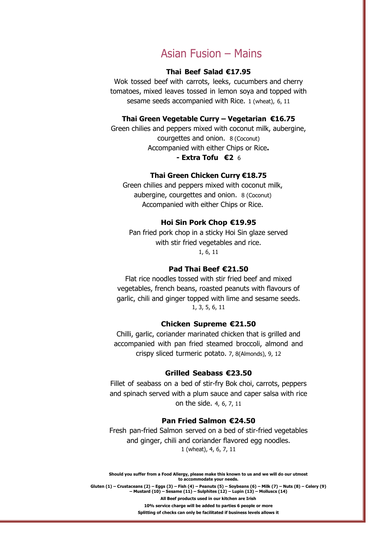# Asian Fusion – Mains

# **Thai Beef Salad €17.95**

Wok tossed beef with carrots, leeks, cucumbers and cherry tomatoes, mixed leaves tossed in lemon soya and topped with sesame seeds accompanied with Rice. 1 (wheat), 6, 11

## **Thai Green Vegetable Curry – Vegetarian €16.75**

Green chilies and peppers mixed with coconut milk, aubergine, courgettes and onion. 8 (Coconut) Accompanied with either Chips or Rice**. - Extra Tofu €2** 6

## **Thai Green Chicken Curry €18.75**

Green chilies and peppers mixed with coconut milk, aubergine, courgettes and onion. 8 (Coconut) Accompanied with either Chips or Rice.

## **Hoi Sin Pork Chop €19.95**

Pan fried pork chop in a sticky Hoi Sin glaze served with stir fried vegetables and rice. 1, 6, 11

#### **Pad Thai Beef €21.50**

Flat rice noodles tossed with stir fried beef and mixed vegetables, french beans, roasted peanuts with flavours of garlic, chili and ginger topped with lime and sesame seeds. 1, 3, 5, 6, 11

## **Chicken Supreme €21.50**

Chilli, garlic, coriander marinated chicken that is grilled and accompanied with pan fried steamed broccoli, almond and crispy sliced turmeric potato. 7, 8(Almonds), 9, 12

#### **Grilled Seabass €23.50**

Fillet of seabass on a bed of stir-fry Bok choi, carrots, peppers and spinach served with a plum sauce and caper salsa with rice on the side. 4, 6, 7, 11

## **Pan Fried Salmon €24.50**

Fresh pan-fried Salmon served on a bed of stir-fried vegetables and ginger, chili and coriander flavored egg noodles. 1 (wheat), 4, 6, 7, 11

**Should you suffer from a Food Allergy, please make this known to us and we will do our utmost to accommodate your needs.**

Gluten (1) – Crustaceans (2) – Eggs (3) – Fish (4) – Peanuts (5) – Soybeans (6) – Milk (7) – Nuts (8) – Celery (9) **– Mustard (10) – Sesame (11) – Sulphites (12) – Lupin (13) – Molluscs (14) All Beef products used in our kitchen are Irish 10% service charge will be added to parties 6 people or more Splitting of checks can only be facilitated if business levels allows it**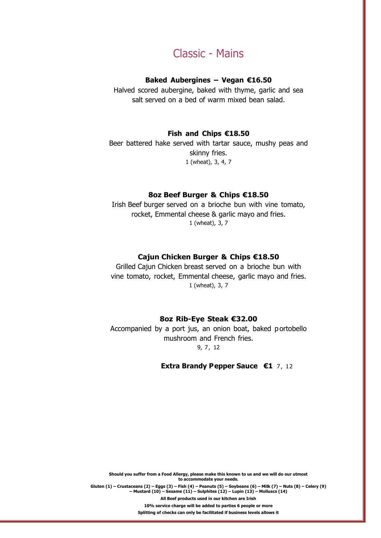# Classic - Mains

### **Baked Aubergines – Vegan €16.50**

Halved scored aubergine, baked with thyme, garlic and sea salt served on a bed of warm mixed bean salad.

# **Fish and Chips €18.50**

Beer battered hake served with tartar sauce, mushy peas and skinny fries. 1 (wheat), 3, 4, 7

# **8oz Beef Burger & Chips €18.50**

Irish Beef burger served on a brioche bun with vine tomato, rocket, Emmental cheese & garlic mayo and fries. 1 (wheat), 3, 7

## **Cajun Chicken Burger & Chips €18.50**

Grilled Cajun Chicken breast served on a brioche bun with vine tomato, rocket, Emmental cheese, garlic mayo and fries. 1 (wheat), 3, 7

#### **8oz Rib-Eye Steak €32.00**

Accompanied by a port jus, an onion boat, baked p ortobello mushroom and French fries. 9, 7, 12

### **Extra Brandy Pepper Sauce €1** 7, 12

**Should you suffer from a Food Allergy, please make this known to us and we will do our utmost to accommodate your needs.** Gluten (1) – Crustaceans (2) – Eqgs (3) – Fish (4) – Peanuts (5) – Soybeans (6) – Milk (7) – Nuts (8) – Celery (9) **– Mustard (10) – Sesame (11) – Sulphites (12) – Lupin (13) – Molluscs (14) All Beef products used in our kitchen are Irish 10% service charge will be added to parties 6 people or more Splitting of checks can only be facilitated if business levels allows it**